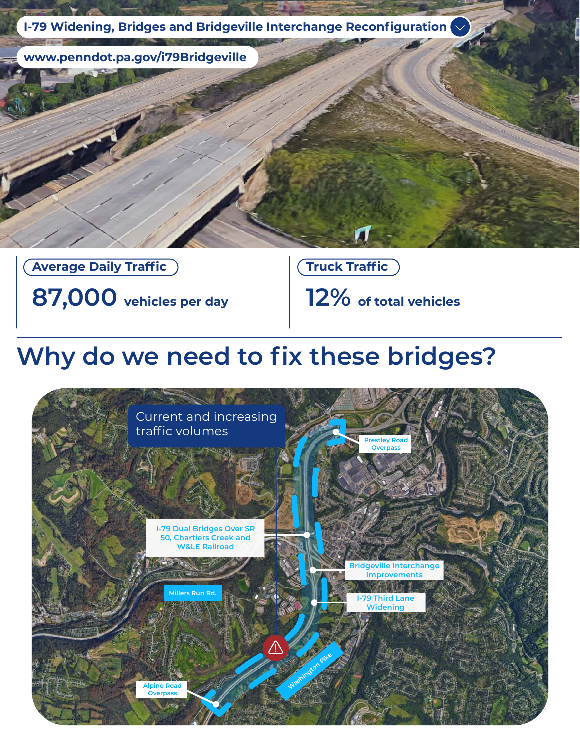

#### **Average Daily Traffic**

**87,000 vehicles per day**

**Truck Traffic**

**12% of total vehicles**

### **Why do we need to fix these bridges?**